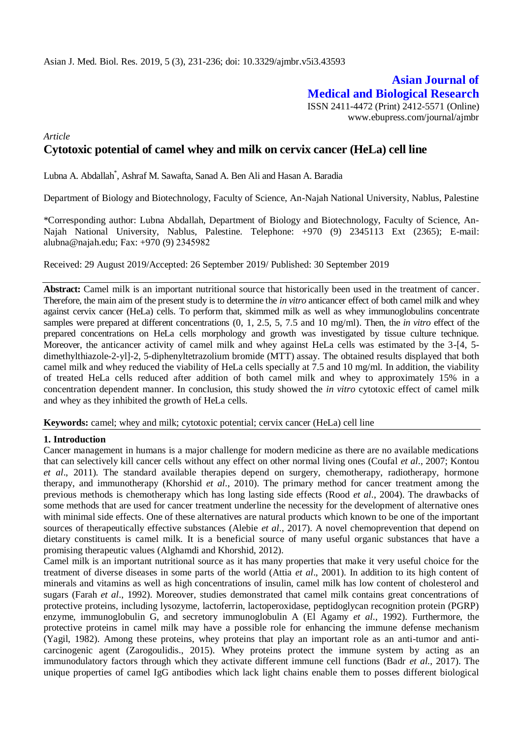# **Asian Journal of Medical and Biological Research** ISSN 2411-4472 (Print) 2412-5571 (Online) www.ebupress.com/journal/ajmbr

*Article*

# **Cytotoxic potential of camel whey and milk on cervix cancer (HeLa) cell line**

Lubna A. Abdallah\* , Ashraf M. Sawafta, Sanad A. Ben Ali and Hasan A. Baradia

Department of Biology and Biotechnology, Faculty of Science, An-Najah National University, Nablus, Palestine

\*Corresponding author: Lubna Abdallah, Department of Biology and Biotechnology, Faculty of Science, An-Najah National University, Nablus, Palestine. Telephone: +970 (9) 2345113 Ext (2365); E-mail: alubna@najah.edu; Fax:  $+970(9)$  2345982

Received: 29 August 2019/Accepted: 26 September 2019/ Published: 30 September 2019

**Abstract:** Camel milk is an important nutritional source that historically been used in the treatment of cancer. Therefore, the main aim of the present study is to determine the *in vitro* anticancer effect of both camel milk and whey against cervix cancer (HeLa) cells. To perform that, skimmed milk as well as whey immunoglobulins concentrate samples were prepared at different concentrations (0, 1, 2.5, 5, 7.5 and 10 mg/ml). Then, the *in vitro* effect of the prepared concentrations on HeLa cells morphology and growth was investigated by tissue culture technique. Moreover, the anticancer activity of camel milk and whey against HeLa cells was estimated by the 3-[4, 5dimethylthiazole-2-yl]-2, 5-diphenyltetrazolium bromide (MTT) assay. The obtained results displayed that both camel milk and whey reduced the viability of HeLa cells specially at 7.5 and 10 mg/ml. In addition, the viability of treated HeLa cells reduced after addition of both camel milk and whey to approximately 15% in a concentration dependent manner. In conclusion, this study showed the *in vitro* cytotoxic effect of camel milk and whey as they inhibited the growth of HeLa cells.

**Keywords:** camel; whey and milk; cytotoxic potential; cervix cancer (HeLa) cell line

#### **1. Introduction**

Cancer management in humans is a major challenge for modern medicine as there are no available medications that can selectively kill cancer cells without any effect on other normal living ones (Coufal *et al*., 2007; Kontou *et al*., 2011). The standard available therapies depend on surgery, chemotherapy, radiotherapy, hormone therapy, and immunotherapy (Khorshid *et al*., 2010). The primary method for cancer treatment among the previous methods is chemotherapy which has long lasting side effects (Rood *et al*., 2004). The drawbacks of some methods that are used for cancer treatment underline the necessity for the development of alternative ones with minimal side effects. One of these alternatives are natural products which known to be one of the important sources of therapeutically effective substances (Alebie *et al*., 2017). A novel chemoprevention that depend on dietary constituents is camel milk. It is a beneficial source of many useful organic substances that have a promising therapeutic values (Alghamdi and Khorshid, 2012).

Camel milk is an important nutritional source as it has many properties that make it very useful choice for the treatment of diverse diseases in some parts of the world (Attia *et al*., 2001). In addition to its high content of minerals and vitamins as well as high concentrations of insulin, camel milk has low content of cholesterol and sugars (Farah *et al*., 1992). Moreover, studies demonstrated that camel milk contains great concentrations of protective proteins, including lysozyme, lactoferrin, lactoperoxidase, peptidoglycan recognition protein (PGRP) enzyme, immunoglobulin G, and secretory immunoglobulin A (El Agamy *et al*., 1992). Furthermore, the protective proteins in camel milk may have a possible role for enhancing the immune defense mechanism (Yagil, 1982). Among these proteins, whey proteins that play an important role as an anti-tumor and anticarcinogenic agent (Zarogoulidis., 2015). Whey proteins protect the immune system by acting as an immunodulatory factors through which they activate different immune cell functions (Badr *et al*., 2017). The unique properties of camel IgG antibodies which lack light chains enable them to posses different biological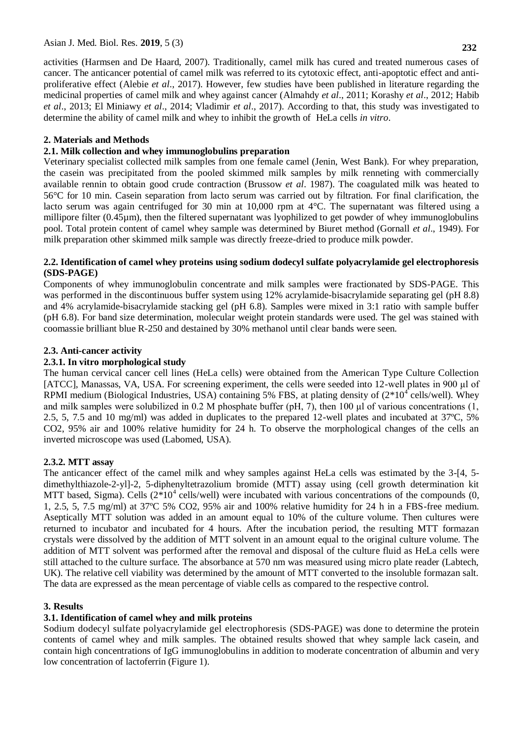activities (Harmsen and De Haard, 2007). Traditionally, camel milk has cured and treated numerous cases of cancer. The anticancer potential of camel milk was referred to its cytotoxic effect, anti-apoptotic effect and antiproliferative effect (Alebie *et al*., 2017). However, few studies have been published in literature regarding the medicinal properties of camel milk and whey against cancer (Almahdy *et al*., 2011; Korashy *et al*., 2012; Habib *et al*., 2013; El Miniawy *et al*., 2014; Vladimir *et al*., 2017). According to that, this study was investigated to determine the ability of camel milk and whey to inhibit the growth of HeLa cells *in vitro*.

# **2. Materials and Methods**

### **2.1. Milk collection and whey immunoglobulins preparation**

Veterinary specialist collected milk samples from one female camel (Jenin, West Bank). For whey preparation, the casein was precipitated from the pooled skimmed milk samples by milk renneting with commercially available rennin to obtain good crude contraction (Brussow *et al*. 1987). The coagulated milk was heated to 56°C for 10 min. Casein separation from lacto serum was carried out by filtration. For final clarification, the lacto serum was again centrifuged for 30 min at 10,000 rpm at 4°C. The supernatant was filtered using a millipore filter (0.45µm), then the filtered supernatant was lyophilized to get powder of whey immunoglobulins pool. Total protein content of camel whey sample was determined by Biuret method (Gornall *et al*., 1949). For milk preparation other skimmed milk sample was directly freeze-dried to produce milk powder.

### **2.2. Identification of camel whey proteins using sodium dodecyl sulfate polyacrylamide gel electrophoresis (SDS-PAGE)**

Components of whey immunoglobulin concentrate and milk samples were fractionated by SDS-PAGE. This was performed in the discontinuous buffer system using 12% acrylamide-bisacrylamide separating gel (pH 8.8) and 4% acrylamide-bisacrylamide stacking gel (pH 6.8). Samples were mixed in 3:1 ratio with sample buffer (pH 6.8). For band size determination, molecular weight protein standards were used. The gel was stained with coomassie brilliant blue R-250 and destained by 30% methanol until clear bands were seen.

## **2.3. Anti-cancer activity**

### **2.3.1. In vitro morphological study**

The human cervical cancer cell lines (HeLa cells) were obtained from the American Type Culture Collection [ATCC], Manassas, VA, USA. For screening experiment, the cells were seeded into 12-well plates in 900 µl of RPMI medium (Biological Industries, USA) containing 5% FBS, at plating density of  $(2*10<sup>4</sup>$  cells/well). Whey and milk samples were solubilized in 0.2 M phosphate buffer (pH, 7), then 100 μl of various concentrations (1, 2.5, 5, 7.5 and 10 mg/ml) was added in duplicates to the prepared 12-well plates and incubated at 37ºC, 5% CO2, 95% air and 100% relative humidity for 24 h. To observe the morphological changes of the cells an inverted microscope was used (Labomed, USA).

### **2.3.2. MTT assay**

The anticancer effect of the camel milk and whey samples against HeLa cells was estimated by the 3-[4, 5 dimethylthiazole-2-yl]-2, 5-diphenyltetrazolium bromide (MTT) assay using (cell growth determination kit MTT based, Sigma). Cells  $(2*10<sup>4</sup>$  cells/well) were incubated with various concentrations of the compounds  $(0, 1)$ 1, 2.5, 5, 7.5 mg/ml) at 37ºC 5% CO2, 95% air and 100% relative humidity for 24 h in a FBS-free medium. Aseptically MTT solution was added in an amount equal to 10% of the culture volume. Then cultures were returned to incubator and incubated for 4 hours. After the incubation period, the resulting MTT formazan crystals were dissolved by the addition of MTT solvent in an amount equal to the original culture volume. The addition of MTT solvent was performed after the removal and disposal of the culture fluid as HeLa cells were still attached to the culture surface. The absorbance at 570 nm was measured using micro plate reader (Labtech, UK). The relative cell viability was determined by the amount of MTT converted to the insoluble formazan salt. The data are expressed as the mean percentage of viable cells as compared to the respective control.

### **3. Results**

### **3.1. Identification of camel whey and milk proteins**

Sodium dodecyl sulfate polyacrylamide gel electrophoresis (SDS-PAGE) was done to determine the protein contents of camel whey and milk samples. The obtained results showed that whey sample lack casein, and contain high concentrations of IgG immunoglobulins in addition to moderate concentration of albumin and very low concentration of lactoferrin (Figure 1).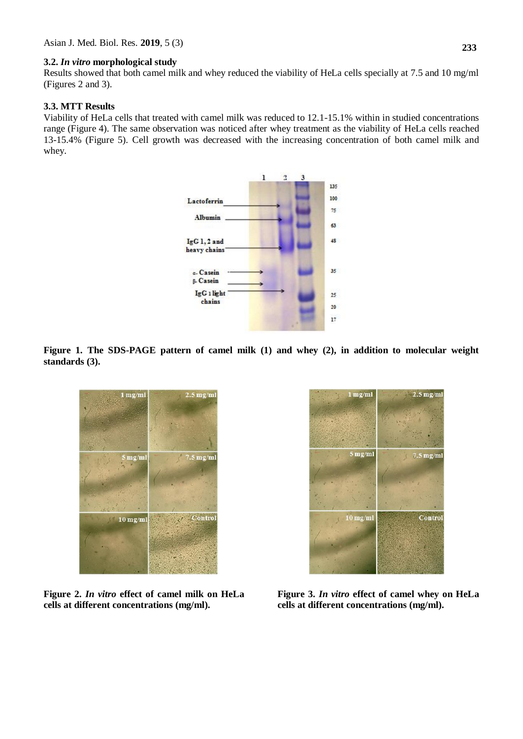#### **3.2.** *In vitro* **morphological study**

Results showed that both camel milk and whey reduced the viability of HeLa cells specially at 7.5 and 10 mg/ml (Figures 2 and 3).

#### **3.3. MTT Results**

Viability of HeLa cells that treated with camel milk was reduced to 12.1-15.1% within in studied concentrations range (Figure 4). The same observation was noticed after whey treatment as the viability of HeLa cells reached 13-15.4% (Figure 5). Cell growth was decreased with the increasing concentration of both camel milk and whey.



**Figure 1. The SDS-PAGE pattern of camel milk (1) and whey (2), in addition to molecular weight standards (3).**



**Figure 2.** *In vitro* **effect of camel milk on HeLa cells at different concentrations (mg/ml).**



**Figure 3.** *In vitro* **effect of camel whey on HeLa cells at different concentrations (mg/ml).**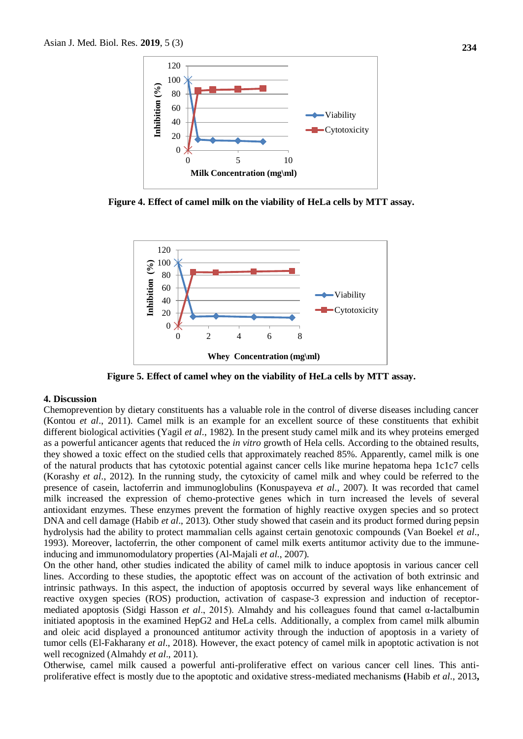

**Figure 4. Effect of camel milk on the viability of HeLa cells by MTT assay.**



**Figure 5. Effect of camel whey on the viability of HeLa cells by MTT assay.**

#### **4. Discussion**

Chemoprevention by dietary constituents has a valuable role in the control of diverse diseases including cancer (Kontou *et al*., 2011). Camel milk is an example for an excellent source of these constituents that exhibit different biological activities (Yagil *et al*., 1982). In the present study camel milk and its whey proteins emerged as a powerful anticancer agents that reduced the *in vitro* growth of Hela cells. According to the obtained results, they showed a toxic effect on the studied cells that approximately reached 85%. Apparently, camel milk is one of the natural products that has cytotoxic potential against cancer cells like murine hepatoma hepa 1c1c7 cells (Korashy *et al*., 2012). In the running study, the cytoxicity of camel milk and whey could be referred to the presence of casein, lactoferrin and immunoglobulins (Konuspayeva *et al*., 2007). It was recorded that camel milk increased the expression of chemo-protective genes which in turn increased the levels of several antioxidant enzymes. These enzymes prevent the formation of highly reactive oxygen species and so protect DNA and cell damage (Habib *et al*., 2013). Other study showed that casein and its product formed during pepsin hydrolysis had the ability to protect mammalian cells against certain genotoxic compounds (Van Boekel *et al*., 1993). Moreover, lactoferrin, the other component of camel milk exerts antitumor activity due to the immuneinducing and immunomodulatory properties (Al-Majali *et al*., 2007).

On the other hand, other studies indicated the ability of camel milk to induce apoptosis in various cancer cell lines. According to these studies, the apoptotic effect was on account of the activation of both extrinsic and intrinsic pathways. In this aspect, the induction of apoptosis occurred by several ways like enhancement of reactive oxygen species (ROS) production, activation of caspase-3 expression and induction of receptormediated apoptosis (Sidgi Hasson *et al*., 2015). Almahdy and his colleagues found that camel α-lactalbumin initiated apoptosis in the examined HepG2 and HeLa cells. Additionally, a complex from camel milk albumin and oleic acid displayed a pronounced antitumor activity through the induction of apoptosis in a variety of tumor cells (El-Fakharany *et al*., 2018). However, the exact potency of camel milk in apoptotic activation is not well recognized (Almahdy *et al*., 2011).

Otherwise, camel milk caused a powerful anti-proliferative effect on various cancer cell lines. This antiproliferative effect is mostly due to the apoptotic and oxidative stress-mediated mechanisms **(**Habib *et al*., 2013**,**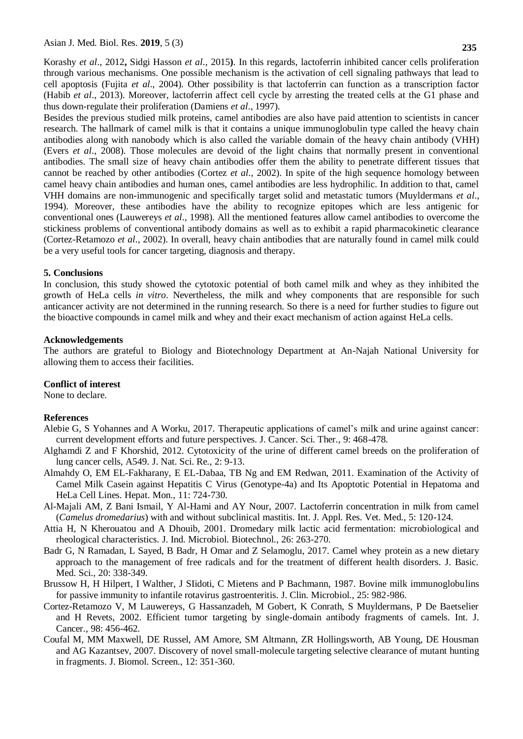Korashy *et al*., 2012**,** Sidgi Hasson *et al*., 2015**)**. In this regards, lactoferrin inhibited cancer cells proliferation through various mechanisms. One possible mechanism is the activation of cell signaling pathways that lead to cell apoptosis (Fujita *et al*., 2004). Other possibility is that lactoferrin can function as a transcription factor (Habib *et al*., 2013). Moreover, lactoferrin affect cell cycle by arresting the treated cells at the G1 phase and thus down-regulate their proliferation (Damiens *et al*., 1997).

Besides the previous studied milk proteins, camel antibodies are also have paid attention to scientists in cancer research. The hallmark of camel milk is that it contains a unique immunoglobulin type called the heavy chain antibodies along with nanobody which is also called the variable domain of the heavy chain antibody (VHH) (Evers *et al*., 2008). Those molecules are devoid of the light chains that normally present in conventional antibodies. The small size of heavy chain antibodies offer them the ability to penetrate different tissues that cannot be reached by other antibodies (Cortez *et al*., 2002). In spite of the high sequence homology between camel heavy chain antibodies and human ones, camel antibodies are less hydrophilic. In addition to that, camel VHH domains are non-immunogenic and specifically target solid and metastatic tumors (Muyldermans *et al*., 1994). Moreover, these antibodies have the ability to recognize epitopes which are less antigenic for conventional ones (Lauwereys *et al*., 1998). All the mentioned features allow camel antibodies to overcome the stickiness problems of conventional antibody domains as well as to exhibit a rapid pharmacokinetic clearance (Cortez-Retamozo *et al*., 2002). In overall, heavy chain antibodies that are naturally found in camel milk could be a very useful tools for cancer targeting, diagnosis and therapy.

#### **5. Conclusions**

In conclusion, this study showed the cytotoxic potential of both camel milk and whey as they inhibited the growth of HeLa cells *in vitro*. Nevertheless, the milk and whey components that are responsible for such anticancer activity are not determined in the running research. So there is a need for further studies to figure out the bioactive compounds in camel milk and whey and their exact mechanism of action against HeLa cells.

#### **Acknowledgements**

The authors are grateful to Biology and Biotechnology Department at An-Najah National University for allowing them to access their facilities.

#### **Conflict of interest**

None to declare.

#### **References**

- Alebie G, S Yohannes and A Worku, 2017. Therapeutic applications of camel's milk and urine against cancer: current development efforts and future perspectives. J. Cancer. Sci. Ther., 9: 468-478.
- Alghamdi Z and F Khorshid, 2012. Cytotoxicity of the urine of different camel breeds on the proliferation of lung cancer cells, A549. J. Nat. Sci. Re., 2: 9-13.
- Almahdy O, EM EL-Fakharany, E EL-Dabaa, TB Ng and EM Redwan, 2011. Examination of the Activity of Camel Milk Casein against Hepatitis C Virus (Genotype-4a) and Its Apoptotic Potential in Hepatoma and HeLa Cell Lines. Hepat. Mon., 11: 724-730.
- Al-Majali AM, Z Bani Ismail, Y Al-Hami and AY Nour, 2007. Lactoferrin concentration in milk from camel (*Camelus dromedarius*) with and without subclinical mastitis. Int. J. Appl. Res. Vet. Med., 5: 120-124.
- Attia H, N Kherouatou and A Dhouib, 2001. Dromedary milk lactic acid fermentation: microbiological and rheological characteristics*.* J. Ind. Microbiol. Biotechnol., 26: 263-270.
- Badr G, N Ramadan, L Sayed, B Badr, H Omar and Z Selamoglu, 2017. Camel whey protein as a new dietary approach to the management of free radicals and for the treatment of different health disorders. J. Basic. Med. Sci., 20: 338-349.
- Brussow H, H Hilpert, I Walther, J SIidoti, C Mietens and P Bachmann, 1987. Bovine milk immunoglobulins for passive immunity to infantile rotavirus gastroenteritis. J. Clin. Microbiol., 25: 982-986.
- Cortez-Retamozo V, M Lauwereys, G Hassanzadeh, M Gobert, K Conrath, S Muyldermans, P De Baetselier and H Revets, 2002. Efficient tumor targeting by single-domain antibody fragments of camels. Int. J. Cancer., 98: 456-462.
- Coufal M, MM Maxwell, DE Russel, AM Amore, SM Altmann, ZR Hollingsworth, AB Young, DE Housman and AG Kazantsev, 2007. Discovery of novel small-molecule targeting selective clearance of mutant hunting in fragments. J. Biomol. Screen., 12: 351-360.